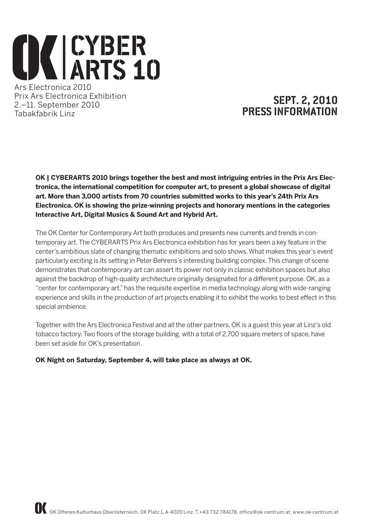# **CYBER**<br>ARTS 1 ARTS 10 Ars Electronica 2010

Prix Ars Electronica Exhibition 2.–11. September 2010 Tabakfabrik Linz

# Sept. 2, 2010 PRESS INFORMATION

**OK | CYBERARTS 2010 brings together the best and most intriguing entries in the Prix Ars Electronica, the international competition for computer art, to present a global showcase of digital art. More than 3,000 artists from 70 countries submitted works to this year's 24th Prix Ars Electronica. OK is showing the prize-winning projects and honorary mentions in the categories Interactive Art, Digital Musics & Sound Art and Hybrid Art.** 

The OK Center for Contemporary Art both produces and presents new currents and trends in contemporary art. The CYBERARTS Prix Ars Electronica exhibition has for years been a key feature in the center's ambitious slate of changing thematic exhibitions and solo shows. What makes this year's event particularly exciting is its setting in Peter Behrens's interesting building complex. This change of scene demonstrates that contemporary art can assert its power not only in classic exhibition spaces but also against the backdrop of high-quality architecture originally designated for a different purpose. OK, as a "center for contemporary art," has the requisite expertise in media technology along with wide-ranging experience and skills in the production of art projects enabling it to exhibit the works to best effect in this special ambience.

Together with the Ars Electronica Festival and all the other partners, OK is a guest this year at Linz's old tobacco factory. Two floors of the storage building, with a total of 2,700 square meters of space, have been set aside for OK's presentation.

**OK Night on Saturday, September 4, will take place as always at OK.**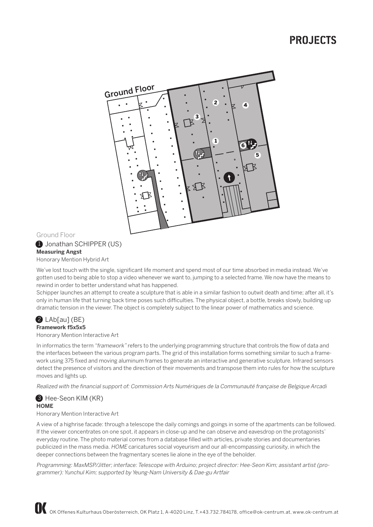# pROJECTS



# Ground Floor

**1** Jonathan SCHIPPER (US) **Measuring Angst**

Honorary Mention Hybrid Art

We've lost touch with the single, significant life moment and spend most of our time absorbed in media instead. We've gotten used to being able to stop a video whenever we want to, jumping to a selected frame. We now have the means to rewind in order to better understand what has happened.

Schipper launches an attempt to create a sculpture that is able in a similar fashion to outwit death and time; after all, it's only in human life that turning back time poses such difficulties. The physical object, a bottle, breaks slowly, building up dramatic tension in the viewer. The object is completely subject to the linear power of mathematics and science.

#### $2$  LAb[au] (BE) **Framework f5x5x5**

Honorary Mention Interactive Art

In informatics the term "framework" refers to the underlying programming structure that controls the flow of data and the interfaces between the various program parts. The grid of this installation forms something similar to such a framework using 375 fixed and moving aluminum frames to generate an interactive and generative sculpture. Infrared sensors detect the presence of visitors and the direction of their movements and transpose them into rules for how the sculpture moves and lights up.

Realized with the financial support of: Commission Arts Numériques de la Communauté française de Belgique Arcadi

# **3** Hee-Seon KIM (KR) **HOME**

#### Honorary Mention Interactive Art

A view of a highrise facade: through a telescope the daily comings and goings in some of the apartments can be followed. If the viewer concentrates on one spot, it appears in close-up and he can observe and eavesdrop on the protagonists' everyday routine. The photo material comes from a database filled with articles, private stories and documentaries publicized in the mass media. HOME caricatures social voyeurism and our all-encompassing curiosity, in which the deeper connections between the fragmentary scenes lie alone in the eye of the beholder.

Programming: MaxMSP/Jitter; interface: Telescope with Arduino; project director: Hee-Seon Kim; assistant artist (programmer): Yunchul Kim; supported by Yeung-Nam University & Dae-gu Artfair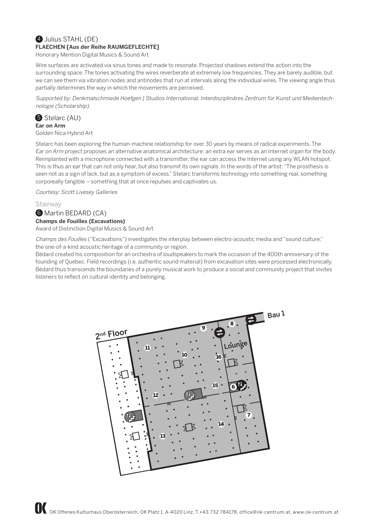# 4 Julius STAHL (DE) **FLAECHEN [Aus der Reihe RAUMGEFLECHTE]**

Honorary Mention Digital Musics & Sound Art

Wire surfaces are activated via sinus tones and made to resonate. Projected shadows extend the action into the surrounding space. The tones activating the wires reverberate at extremely low frequencies. They are barely audible, but we can see them via vibration nodes and antinodes that run at intervals along the individual wires. The viewing angle thus partially determines the way in which the movements are perceived.

Supported by: Denkmalschmiede Hoefgen | Studios International, Interdisziplinäres Zentrum für Kunst und Medientechnologie (Scholarship).

# **5** Stelarc (AU)

**Ear on Arm** Golden Nica Hybrid Art

Stelarc has been exploring the human-machine relationship for over 30 years by means of radical experiments. The Ear on Arm project proposes an alternative anatomical architecture: an extra ear serves as an Internet organ for the body. Reimplanted with a microphone connected with a transmitter, the ear can access the Internet using any WLAN hotspot. This is thus an ear that can not only hear, but also transmit its own signals. In the words of the artist: "The prosthesis is seen not as a sign of lack, but as a symptom of excess." Stelarc transforms technology into something real, something corporeally tangible – something that at once repulses and captivates us.

Courtesy: Scott Livesey Galleries

**Stairway** 

# **6** Martin BEDARD (CA) **Champs de Fouilles (Excavations)**

Award of Distinction Digital Musics & Sound Art

Champs des Fouilles ("Excavations") investigates the interplay between electro-acoustic media and "sound culture," the one-of-a-kind acoustic heritage of a community or region.

Bédard created his composition for an orchestra of loudspeakers to mark the occasion of the 400th anniversary of the founding of Quebec. Field recordings (i.e. authentic sound material) from excavation sites were processed electronically. Bédard thus transcends the boundaries of a purely musical work to produce a social and community project that invites listeners to reflect on cultural identity and belonging.

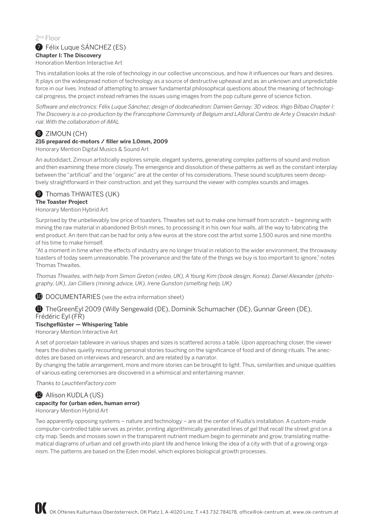## 2nd Floor **7** Félix Luque SÁNCHEZ (ES) **Chapter I: The Discovery** Honoration Mention Interactive Art

This installation looks at the role of technology in our collective unconscious, and how it influences our fears and desires. It plays on the widespread notion of technology as a source of destructive upheaval and as an unknown and unpredictable force in our lives. Instead of attempting to answer fundamental philosophical questions about the meaning of technological progress, the project instead reframes the issues using images from the pop culture genre of science fiction.

Software and electronics: Félix Luque Sánchez; design of dodecahedron: Damien Gernay; 3D videos: Iñigo Bilbao Chapter I: The Discovery is a co-production by the Francophone Community of Belgium and LABoral Centro de Arte y Creación Industrial. With the collaboration of iMAL

# 8 ZIMOUN (CH)

# **216 prepared dc-motors / filler wire 1.0mm, 2009**

Honorary Mention Digital Musics & Sound Art

An autodidact, Zimoun artistically explores simple, elegant systems, generating complex patterns of sound and motion and then examining these more closely. The emergence and dissolution of these patterns as well as the constant interplay between the "artificial" and the "organic" are at the center of his considerations. These sound sculptures seem deceptively straightforward in their construction, and yet they surround the viewer with complex sounds and images.



# **The Toaster Project**

Honorary Mention Hybrid Art

Surprised by the unbelievably low price of toasters, Thwaites set out to make one himself from scratch – beginning with mining the raw material in abandoned British mines, to processing it in his own four walls, all the way to fabricating the end product. An item that can be had for only a few euros at the store cost the artist some 1,500 euros and nine months of his time to make himself.

"At a moment in time when the effects of industry are no longer trivial in relation to the wider environment, the throwaway toasters of today seem unreasonable. The provenance and the fate of the things we buy is too important to ignore," notes Thomas Thwaites.

Thomas Thwaites, with help from Simon Greton (video, UK), A Young Kim (book design, Korea), Daniel Alexander (photography, UK), Jan Cilliers (mining advice, UK), Irene Gunston (smelting help, UK)

**10** DOCUMENTARIES (see the extra information sheet)

# **11** TheGreenEyl 2009 (Willy Sengewald (DE), Dominik Schumacher (DE), Gunnar Green (DE), Frédéric Eyl (FR)

# **Tischgeflüster — Whispering Table**

Honorary Mention Interactive Art

A set of porcelain tableware in various shapes and sizes is scattered across a table. Upon approaching closer, the viewer hears the dishes quietly recounting personal stories touching on the significance of food and of dining rituals. The anecdotes are based on interviews and research, and are related by a narrator.

By changing the table arrangement, more and more stories can be brought to light. Thus, similarities and unique qualities of various eating ceremonies are discovered in a whimsical and entertaining manner.

Thanks to LeuchtenFactory.com

# 12 Allison KUDLA (US)

# **capacity for (urban eden, human error)**

Honorary Mention Hybrid Art

Two apparently opposing systems – nature and technology – are at the center of Kudla's installation. A custom-made computer-controlled table serves as printer, printing algorithmically generated lines of gel that recall the street grid on a city map. Seeds and mosses sown in the transparent nutrient medium begin to germinate and grow, translating mathematical diagrams of urban and cell growth into plant life and hence linking the idea of a city with that of a growing organism. The patterns are based on the Eden model, which explores biological growth processes.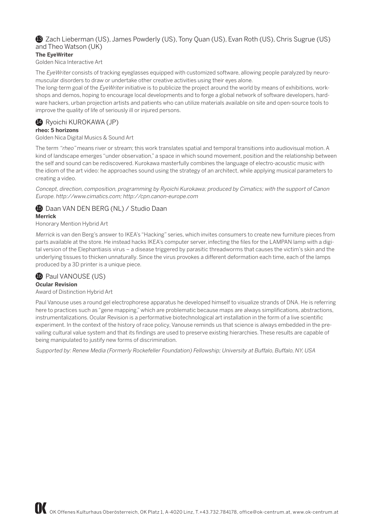# 13 Zach Lieberman (US), James Powderly (US), Tony Quan (US), Evan Roth (US), Chris Sugrue (US) and Theo Watson (UK)

# **The EyeWriter**

Golden Nica Interactive Art

The EyeWriter consists of tracking eyeglasses equipped with customized software, allowing people paralyzed by neuromuscular disorders to draw or undertake other creative activities using their eyes alone.

The long-term goal of the EyeWriter initiative is to publicize the project around the world by means of exhibitions, workshops and demos, hoping to encourage local developments and to forge a global network of software developers, hardware hackers, urban projection artists and patients who can utilize materials available on site and open-source tools to improve the quality of life of seriously ill or injured persons.

# 14 Ryoichi KUROKAWA (JP)

**rheo: 5 horizons**

Golden Nica Digital Musics & Sound Art

The term "rheo" means river or stream; this work translates spatial and temporal transitions into audiovisual motion. A kind of landscape emerges "under observation," a space in which sound movement, position and the relationship between the self and sound can be rediscovered. Kurokawa masterfully combines the language of electro-acoustic music with the idiom of the art video: he approaches sound using the strategy of an architect, while applying musical parameters to creating a video.

Concept, direction, composition, programming by Ryoichi Kurokawa; produced by Cimatics; with the support of Canon Europe. http://www.cimatics.com; http://cpn.canon-europe.com

**15** Daan VAN DEN BERG (NL) / Studio Daan **Merrick** Honorary Mention Hybrid Art

Merrick is van den Berg's answer to IKEA's "Hacking" series, which invites consumers to create new furniture pieces from parts available at the store. He instead hacks IKEA's computer server, infecting the files for the LAMPAN lamp with a digital version of the Elephantiasis virus – a disease triggered by parasitic threadworms that causes the victim's skin and the underlying tissues to thicken unnaturally. Since the virus provokes a different deformation each time, each of the lamps produced by a 3D printer is a unique piece.

**16** Paul VANOUSE (US) **Ocular Revision** Award of Distinction Hybrid Art

Paul Vanouse uses a round gel electrophorese apparatus he developed himself to visualize strands of DNA. He is referring here to practices such as "gene mapping," which are problematic because maps are always simplifications, abstractions, instrumentalizations. Ocular Revision is a performative biotechnological art installation in the form of a live scientific experiment. In the context of the history of race policy, Vanouse reminds us that science is always embedded in the prevailing cultural value system and that its findings are used to preserve existing hierarchies. These results are capable of being manipulated to justify new forms of discrimination.

Supported by: Renew Media (Formerly Rockefeller Foundation) Fellowship; University at Buffalo, Buffalo, NY, USA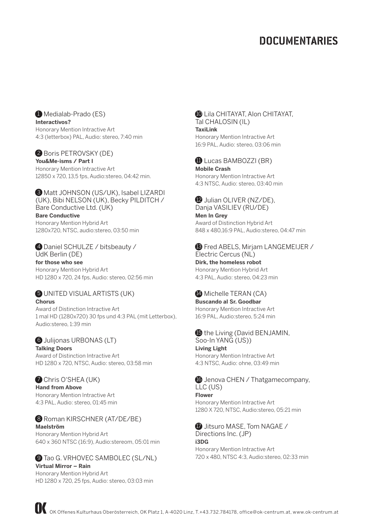# **DOCUMENTARIES**

 $\bigoplus$  Medialab-Prado (ES) **Interactivos?** Honorary Mention Intractive Art 4:3 (letterbox) PAL, Audio: stereo, 7:40 min

## **2** Boris PETROVSKY (DE)

**You&Me-isms / Part I** Honorary Mention Intractive Art 12850 x 720, 13,5 fps, Audio:stereo, 04:42 min.

3 Matt JOHNSON (US/UK), Isabel LIZARDI (UK), Bibi NELSON (UK), Becky PILDITCH / Bare Conductive Ltd. (UK) **Bare Conductive**

Honorary Mention Hybrid Art 1280x720, NTSC, audio:stereo, 03:50 min

#### 4 Daniel SCHULZE / bitsbeauty / UdK Berlin (DE)

**for those who see** Honorary Mention Hybrid Art HD 1280 x 720, 24 fps, Audio: stereo, 02:56 min

#### **6** UNITED VISUAL ARTISTS (UK) **Chorus**

Award of Distinction Intractive Art 1 mal HD (1280x720) 30 fps und 4:3 PAL (mit Letterbox), Audio:stereo, 1:39 min

## 6 Julijonas URBONAS (LT)

**Talking Doors** Award of Distinction Intractive Art HD 1280 x 720, NTSC, Audio: stereo, 03:58 min

# **Chris O'SHEA (UK)**

**Hand from Above** Honorary Mention Intractive Art 4:3 PAL, Audio: stereo, 01:45 min

# 8 Roman KIRSCHNER (AT/DE/BE)

**Maelström** Honorary Mention Hybrid Art 640 x 360 NTSC (16:9), Audio:stereom, 05:01 min

# **9** Tao G. VRHOVEC SAMBOLEC (SL/NL)

**Virtual Mirror – Rain** Honorary Mention Hybrid Art HD 1280 x 720, 25 fps, Audio: stereo, 03:03 min

#### **10** Lila CHITAYAT, Alon CHITAYAT, Tal CHALOSIN (IL) **TaxiLink**

Honorary Mention Intractive Art 16:9 PAL, Audio: stereo, 03:06 min

# **11** Lucas BAMBOZZI (BR) **Mobile Crash**

Honorary Mention Intractive Art 4:3 NTSC, Audio: stereo, 03:40 min

**12** Julian OLIVER (NZ/DE), Danja VASILIEV (RU/DE)

**Men In Grey** Award of Distinction Hybrid Art 848 x 480,16:9 PAL, Audio:stereo, 04:47 min

# **13** Fred ABELS, Mirjam LANGEMEIJER /

Electric Cercus (NL) **Dirk, the homeless robot** Honorary Mention Hybrid Art 4:3 PAL, Audio: stereo, 04:23 min

# 14 Michelle TERAN (CA)

**Buscando al Sr. Goodbar** Honorary Mention Intractive Art 16:9 PAL, Audio:stereo, 5:24 min

#### **15** the Living (David BENJAMIN, Soo-In YANG (US)) **Living Light** Honorary Mention Intractive Art

4:3 NTSC, Audio: ohne, 03:49 min

**6** Jenova CHEN / Thatgamecompany, LLC (US) **Flower** Honorary Mention Intractive Art 1280 X 720, NTSC, Audio:stereo, 05:21 min

# **17** Jitsuro MASE, Tom NAGAE / Directions Inc. (JP)

**i3DG** Honorary Mention Intractive Art 720 x 480, NTSC 4:3, Audio:stereo, 02:33 min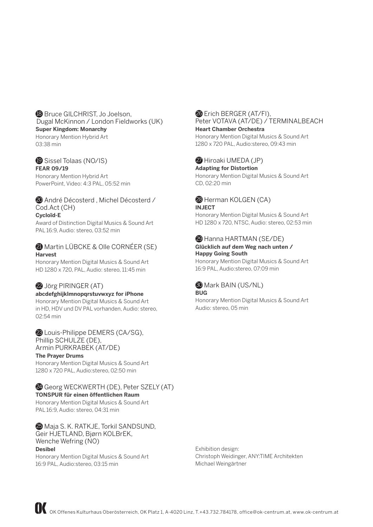## **18** Bruce GILCHRIST, Jo Joelson, Dugal McKinnon / London Fieldworks (UK) **Super Kingdom: Monarchy**

Honorary Mention Hybrid Art 03:38 min

#### 19 Sissel Tolaas (NO/IS) **FEAR 09/19**

Honorary Mention Hybrid Art PowerPoint, Video: 4:3 PAL, 05:52 min

#### 20 André Décosterd , Michel Décosterd / Cod.Act (CH) **Cycloïd-E**

Award of Distinction Digital Musics & Sound Art PAL 16:9, Audio: stereo, 03:52 min

# **21 Martin LÜBCKE & Olle CORNÉER (SE) Harvest**

Honorary Mention Digital Musics & Sound Art HD 1280 x 720, PAL, Audio: stereo, 11:45 min

# 22 Jörg PIRINGER (AT)

## **abcdefghijklmnopqrstuvwxyz for iPhone**

Honorary Mention Digital Musics & Sound Art in HD, HDV und DV PAL vorhanden, Audio: stereo, 02:54 min

## <sup>23</sup> Louis-Philippe DEMERS (CA/SG), Phillip SCHULZE (DE), Armin PURKRABEK (AT/DE)

**The Prayer Drums** Honorary Mention Digital Musics & Sound Art 1280 x 720 PAL, Audio:stereo, 02:50 min

## 24 Georg WECKWERTH (DE), Peter SZELY (AT) **TONSPUR für einen öffentlichen Raum**

Honorary Mention Digital Musics & Sound Art PAL 16:9, Audio: stereo, 04:31 min

25 Maja S. K. RATKJE, Torkil SANDSUND, Geir HJETLAND, Bjørn KOLBrEK, Wenche Wefring (NO) **Desibel** Honorary Mention Digital Musics & Sound Art

16:9 PAL, Audio:stereo, 03:15 min

#### **26** Erich BERGER (AT/FI). Peter VOTAVA (AT/DE) / TERMINALBEACH **Heart Chamber Orchestra**

Honorary Mention Digital Musics & Sound Art 1280 x 720 PAL, Audio:stereo, 09:43 min

# 27 Hiroaki UMEDA (JP)

**Adapting for Distortion** Honorary Mention Digital Musics & Sound Art CD, 02:20 min

# **29 Herman KOLGEN (CA) INJECT**

Honorary Mention Digital Musics & Sound Art HD 1280 x 720, NTSC, Audio: stereo, 02:53 min

#### 29 Hanna HARTMAN (SE/DE) **Glücklich auf dem Weg nach unten / Happy Going South**

Honorary Mention Digital Musics & Sound Art 16:9 PAL, Audio:stereo, 07:09 min

#### 30 Mark BAIN (US/NL) **BUG**

Honorary Mention Digital Musics & Sound Art Audio: stereo, 05 min

Exhibition design: Christoph Weidinger, ANY:TIME Architekten Michael Weingärtner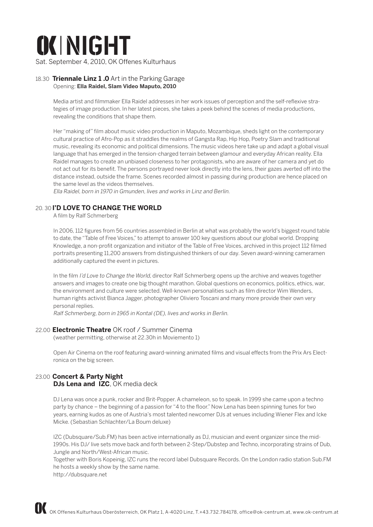

Sat. September 4, 2010, OK Offenes Kulturhaus

#### 18.30 **Triennale Linz 1 .0** Art in the Parking Garage Opening: **Ella Raidel, Slam Video Maputo, 2010**

Media artist and filmmaker Ella Raidel addresses in her work issues of perception and the self-reflexive strategies of image production. In her latest pieces, she takes a peek behind the scenes of media productions, revealing the conditions that shape them.

Her "making of" film about music video production in Maputo, Mozambique, sheds light on the contemporary cultural practice of Afro-Pop as it straddles the realms of Gangsta Rap, Hip Hop, Poetry Slam and traditional music, revealing its economic and political dimensions. The music videos here take up and adapt a global visual language that has emerged in the tension-charged terrain between glamour and everyday African reality. Ella Raidel manages to create an unbiased closeness to her protagonists, who are aware of her camera and yet do not act out for its benefit. The persons portrayed never look directly into the lens, their gazes averted off into the distance instead, outside the frame. Scenes recorded almost in passing during production are hence placed on the same level as the videos themselves.

Ella Raidel, born in 1970 in Gmunden, lives and works in Linz and Berlin.

# 20. 30 **I'D LOVE TO CHANGE THE WORLD**

A film by Ralf Schmerberg

In 2006, 112 figures from 56 countries assembled in Berlin at what was probably the world's biggest round table to date, the "Table of Free Voices," to attempt to answer 100 key questions about our global world. Dropping Knowledge, a non-profit organization and initiator of the Table of Free Voices, archived in this project 112 filmed portraits presenting 11,200 answers from distinguished thinkers of our day. Seven award-winning cameramen additionally captured the event in pictures.

In the film I'd Love to Change the World, director Ralf Schmerberg opens up the archive and weaves together answers and images to create one big thought marathon. Global questions on economics, politics, ethics, war, the environment and culture were selected. Well-known personalities such as film director Wim Wenders, human rights activist Bianca Jagger, photographer Oliviero Toscani and many more provide their own very personal replies.

Ralf Schmerberg, born in 1965 in Kontal (DE), lives and works in Berlin.

## 22.00 **Electronic Theatre** OK roof / Summer Cinema

(weather permitting, otherwise at 22.30h in Moviemento 1)

Open Air Cinema on the roof featuring award-winning animated films and visual effects from the Prix Ars Electronica on the big screen.

# 23.00 **Concert & Party Night DJs Lena and IZC. OK media deck**

DJ Lena was once a punk, rocker and Brit-Popper. A chameleon, so to speak. In 1999 she came upon a techno party by chance – the beginning of a passion for "4 to the floor." Now Lena has been spinning tunes for two years, earning kudos as one of Austria's most talented newcomer DJs at venues including Wiener Flex and Icke Micke. (Sebastian Schlachter/La Boum deluxe)

IZC (Dubsquare/Sub.FM) has been active internationally as DJ, musician and event organizer since the mid-1990s. His DJ/ live sets move back and forth between 2-Step/Dubstep and Techno, incorporating strains of Dub, Jungle and North/West-African music.

Together with Boris Kopeinig, IZC runs the record label Dubsquare Records. On the London radio station Sub.FM he hosts a weekly show by the same name.

http://dubsquare.net